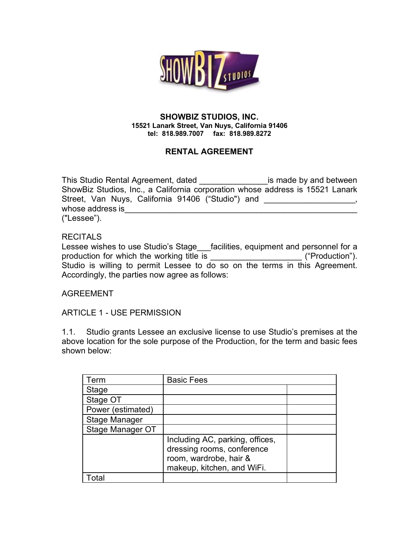

#### **SHOWBIZ STUDIOS, INC. 15521 Lanark Street, Van Nuys, California 91406 tel: 818.989.7007 fax: 818.989.8272**

# **RENTAL AGREEMENT**

This Studio Rental Agreement, dated **with all and in the studio Rental Agreement**, dated <u>the studio studio is</u> made by and between ShowBiz Studios, Inc., a California corporation whose address is 15521 Lanark Street, Van Nuys, California 91406 ("Studio") and whose address is ("Lessee").

## **RECITALS**

Lessee wishes to use Studio's Stage\_\_\_facilities, equipment and personnel for a production for which the working title is \_\_\_\_\_\_\_\_\_\_\_\_\_\_\_\_\_\_\_\_\_\_\_\_\_\_\_\_\_("Production"). Studio is willing to permit Lessee to do so on the terms in this Agreement. Accordingly, the parties now agree as follows:

AGREEMENT

ARTICLE 1 - USE PERMISSION

1.1. Studio grants Lessee an exclusive license to use Studio's premises at the above location for the sole purpose of the Production, for the term and basic fees shown below:

| Term                 | <b>Basic Fees</b>               |  |
|----------------------|---------------------------------|--|
| Stage                |                                 |  |
| Stage OT             |                                 |  |
| Power (estimated)    |                                 |  |
| <b>Stage Manager</b> |                                 |  |
| Stage Manager OT     |                                 |  |
|                      | Including AC, parking, offices, |  |
|                      | dressing rooms, conference      |  |
|                      | room, wardrobe, hair &          |  |
|                      | makeup, kitchen, and WiFi.      |  |
|                      |                                 |  |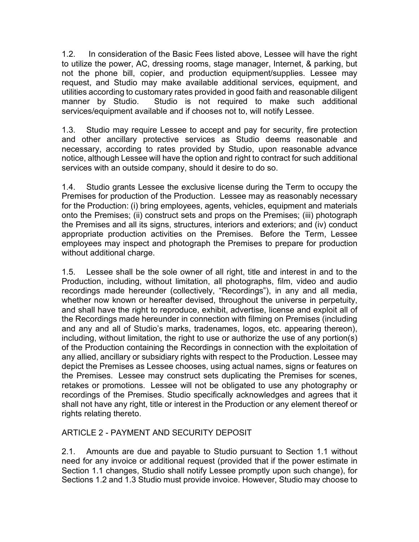1.2. In consideration of the Basic Fees listed above, Lessee will have the right to utilize the power, AC, dressing rooms, stage manager, Internet, & parking, but not the phone bill, copier, and production equipment/supplies. Lessee may request, and Studio may make available additional services, equipment, and utilities according to customary rates provided in good faith and reasonable diligent manner by Studio. Studio is not required to make such additional services/equipment available and if chooses not to, will notify Lessee.

1.3. Studio may require Lessee to accept and pay for security, fire protection and other ancillary protective services as Studio deems reasonable and necessary, according to rates provided by Studio, upon reasonable advance notice, although Lessee will have the option and right to contract for such additional services with an outside company, should it desire to do so.

1.4. Studio grants Lessee the exclusive license during the Term to occupy the Premises for production of the Production. Lessee may as reasonably necessary for the Production: (i) bring employees, agents, vehicles, equipment and materials onto the Premises; (ii) construct sets and props on the Premises; (iii) photograph the Premises and all its signs, structures, interiors and exteriors; and (iv) conduct appropriate production activities on the Premises. Before the Term, Lessee employees may inspect and photograph the Premises to prepare for production without additional charge.

1.5. Lessee shall be the sole owner of all right, title and interest in and to the Production, including, without limitation, all photographs, film, video and audio recordings made hereunder (collectively, "Recordings"), in any and all media, whether now known or hereafter devised, throughout the universe in perpetuity, and shall have the right to reproduce, exhibit, advertise, license and exploit all of the Recordings made hereunder in connection with filming on Premises (including and any and all of Studio's marks, tradenames, logos, etc. appearing thereon), including, without limitation, the right to use or authorize the use of any portion(s) of the Production containing the Recordings in connection with the exploitation of any allied, ancillary or subsidiary rights with respect to the Production. Lessee may depict the Premises as Lessee chooses, using actual names, signs or features on the Premises. Lessee may construct sets duplicating the Premises for scenes, retakes or promotions. Lessee will not be obligated to use any photography or recordings of the Premises. Studio specifically acknowledges and agrees that it shall not have any right, title or interest in the Production or any element thereof or rights relating thereto.

# ARTICLE 2 - PAYMENT AND SECURITY DEPOSIT

2.1. Amounts are due and payable to Studio pursuant to Section 1.1 without need for any invoice or additional request (provided that if the power estimate in Section 1.1 changes, Studio shall notify Lessee promptly upon such change), for Sections 1.2 and 1.3 Studio must provide invoice. However, Studio may choose to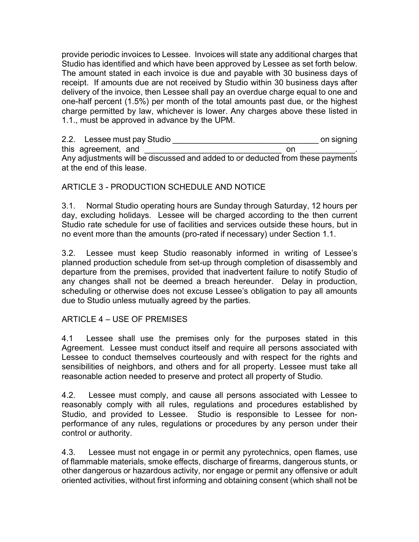provide periodic invoices to Lessee. Invoices will state any additional charges that Studio has identified and which have been approved by Lessee as set forth below. The amount stated in each invoice is due and payable with 30 business days of receipt. If amounts due are not received by Studio within 30 business days after delivery of the invoice, then Lessee shall pay an overdue charge equal to one and one-half percent (1.5%) per month of the total amounts past due, or the highest charge permitted by law, whichever is lower. Any charges above these listed in 1.1., must be approved in advance by the UPM.

2.2. Lessee must pay Studio **and the set of the set of the set of the studio studio constant on signing** this agreement, and **on** Any adjustments will be discussed and added to or deducted from these payments at the end of this lease.

## ARTICLE 3 - PRODUCTION SCHEDULE AND NOTICE

3.1. Normal Studio operating hours are Sunday through Saturday, 12 hours per day, excluding holidays. Lessee will be charged according to the then current Studio rate schedule for use of facilities and services outside these hours, but in no event more than the amounts (pro-rated if necessary) under Section 1.1.

3.2. Lessee must keep Studio reasonably informed in writing of Lessee's planned production schedule from set-up through completion of disassembly and departure from the premises, provided that inadvertent failure to notify Studio of any changes shall not be deemed a breach hereunder. Delay in production, scheduling or otherwise does not excuse Lessee's obligation to pay all amounts due to Studio unless mutually agreed by the parties.

## ARTICLE 4 – USE OF PREMISES

4.1 Lessee shall use the premises only for the purposes stated in this Agreement. Lessee must conduct itself and require all persons associated with Lessee to conduct themselves courteously and with respect for the rights and sensibilities of neighbors, and others and for all property. Lessee must take all reasonable action needed to preserve and protect all property of Studio.

4.2. Lessee must comply, and cause all persons associated with Lessee to reasonably comply with all rules, regulations and procedures established by Studio, and provided to Lessee. Studio is responsible to Lessee for nonperformance of any rules, regulations or procedures by any person under their control or authority.

4.3. Lessee must not engage in or permit any pyrotechnics, open flames, use of flammable materials, smoke effects, discharge of firearms, dangerous stunts, or other dangerous or hazardous activity, nor engage or permit any offensive or adult oriented activities, without first informing and obtaining consent (which shall not be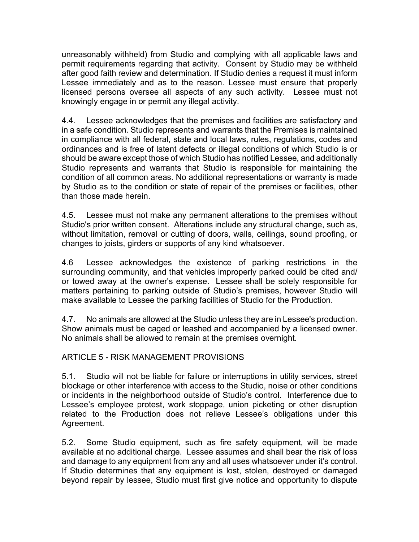unreasonably withheld) from Studio and complying with all applicable laws and permit requirements regarding that activity. Consent by Studio may be withheld after good faith review and determination. If Studio denies a request it must inform Lessee immediately and as to the reason. Lessee must ensure that properly licensed persons oversee all aspects of any such activity. Lessee must not knowingly engage in or permit any illegal activity.

4.4. Lessee acknowledges that the premises and facilities are satisfactory and in a safe condition. Studio represents and warrants that the Premises is maintained in compliance with all federal, state and local laws, rules, regulations, codes and ordinances and is free of latent defects or illegal conditions of which Studio is or should be aware except those of which Studio has notified Lessee, and additionally Studio represents and warrants that Studio is responsible for maintaining the condition of all common areas. No additional representations or warranty is made by Studio as to the condition or state of repair of the premises or facilities, other than those made herein.

4.5. Lessee must not make any permanent alterations to the premises without Studio's prior written consent. Alterations include any structural change, such as, without limitation, removal or cutting of doors, walls, ceilings, sound proofing, or changes to joists, girders or supports of any kind whatsoever.

4.6 Lessee acknowledges the existence of parking restrictions in the surrounding community, and that vehicles improperly parked could be cited and/ or towed away at the owner's expense. Lessee shall be solely responsible for matters pertaining to parking outside of Studio's premises, however Studio will make available to Lessee the parking facilities of Studio for the Production.

4.7. No animals are allowed at the Studio unless they are in Lessee's production. Show animals must be caged or leashed and accompanied by a licensed owner. No animals shall be allowed to remain at the premises overnight.

# ARTICLE 5 - RISK MANAGEMENT PROVISIONS

5.1. Studio will not be liable for failure or interruptions in utility services, street blockage or other interference with access to the Studio, noise or other conditions or incidents in the neighborhood outside of Studio's control. Interference due to Lessee's employee protest, work stoppage, union picketing or other disruption related to the Production does not relieve Lessee's obligations under this Agreement.

5.2. Some Studio equipment, such as fire safety equipment, will be made available at no additional charge. Lessee assumes and shall bear the risk of loss and damage to any equipment from any and all uses whatsoever under it's control. If Studio determines that any equipment is lost, stolen, destroyed or damaged beyond repair by lessee, Studio must first give notice and opportunity to dispute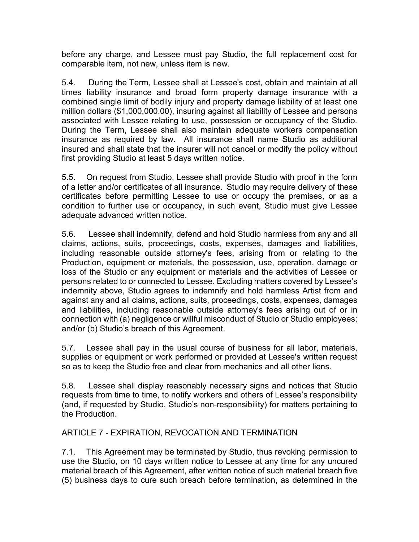before any charge, and Lessee must pay Studio, the full replacement cost for comparable item, not new, unless item is new.

5.4. During the Term, Lessee shall at Lessee's cost, obtain and maintain at all times liability insurance and broad form property damage insurance with a combined single limit of bodily injury and property damage liability of at least one million dollars (\$1,000,000.00), insuring against all liability of Lessee and persons associated with Lessee relating to use, possession or occupancy of the Studio. During the Term, Lessee shall also maintain adequate workers compensation insurance as required by law. All insurance shall name Studio as additional insured and shall state that the insurer will not cancel or modify the policy without first providing Studio at least 5 days written notice.

5.5. On request from Studio, Lessee shall provide Studio with proof in the form of a letter and/or certificates of all insurance. Studio may require delivery of these certificates before permitting Lessee to use or occupy the premises, or as a condition to further use or occupancy, in such event, Studio must give Lessee adequate advanced written notice.

5.6. Lessee shall indemnify, defend and hold Studio harmless from any and all claims, actions, suits, proceedings, costs, expenses, damages and liabilities, including reasonable outside attorney's fees, arising from or relating to the Production, equipment or materials, the possession, use, operation, damage or loss of the Studio or any equipment or materials and the activities of Lessee or persons related to or connected to Lessee. Excluding matters covered by Lessee's indemnity above, Studio agrees to indemnify and hold harmless Artist from and against any and all claims, actions, suits, proceedings, costs, expenses, damages and liabilities, including reasonable outside attorney's fees arising out of or in connection with (a) negligence or willful misconduct of Studio or Studio employees; and/or (b) Studio's breach of this Agreement.

5.7. Lessee shall pay in the usual course of business for all labor, materials, supplies or equipment or work performed or provided at Lessee's written request so as to keep the Studio free and clear from mechanics and all other liens.

5.8. Lessee shall display reasonably necessary signs and notices that Studio requests from time to time, to notify workers and others of Lessee's responsibility (and, if requested by Studio, Studio's non-responsibility) for matters pertaining to the Production.

# ARTICLE 7 - EXPIRATION, REVOCATION AND TERMINATION

7.1. This Agreement may be terminated by Studio, thus revoking permission to use the Studio, on 10 days written notice to Lessee at any time for any uncured material breach of this Agreement, after written notice of such material breach five (5) business days to cure such breach before termination, as determined in the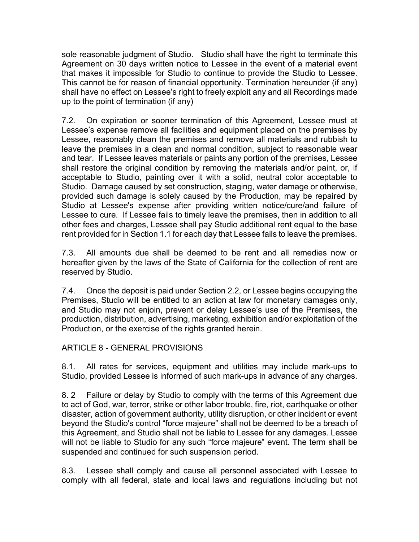sole reasonable judgment of Studio. Studio shall have the right to terminate this Agreement on 30 days written notice to Lessee in the event of a material event that makes it impossible for Studio to continue to provide the Studio to Lessee. This cannot be for reason of financial opportunity. Termination hereunder (if any) shall have no effect on Lessee's right to freely exploit any and all Recordings made up to the point of termination (if any)

7.2. On expiration or sooner termination of this Agreement, Lessee must at Lessee's expense remove all facilities and equipment placed on the premises by Lessee, reasonably clean the premises and remove all materials and rubbish to leave the premises in a clean and normal condition, subject to reasonable wear and tear. If Lessee leaves materials or paints any portion of the premises, Lessee shall restore the original condition by removing the materials and/or paint, or, if acceptable to Studio, painting over it with a solid, neutral color acceptable to Studio. Damage caused by set construction, staging, water damage or otherwise, provided such damage is solely caused by the Production, may be repaired by Studio at Lessee's expense after providing written notice/cure/and failure of Lessee to cure. If Lessee fails to timely leave the premises, then in addition to all other fees and charges, Lessee shall pay Studio additional rent equal to the base rent provided for in Section 1.1 for each day that Lessee fails to leave the premises.

7.3. All amounts due shall be deemed to be rent and all remedies now or hereafter given by the laws of the State of California for the collection of rent are reserved by Studio.

7.4. Once the deposit is paid under Section 2.2, or Lessee begins occupying the Premises, Studio will be entitled to an action at law for monetary damages only, and Studio may not enjoin, prevent or delay Lessee's use of the Premises, the production, distribution, advertising, marketing, exhibition and/or exploitation of the Production, or the exercise of the rights granted herein.

# ARTICLE 8 - GENERAL PROVISIONS

8.1. All rates for services, equipment and utilities may include mark-ups to Studio, provided Lessee is informed of such mark-ups in advance of any charges.

8. 2 Failure or delay by Studio to comply with the terms of this Agreement due to act of God, war, terror, strike or other labor trouble, fire, riot, earthquake or other disaster, action of government authority, utility disruption, or other incident or event beyond the Studio's control "force majeure" shall not be deemed to be a breach of this Agreement, and Studio shall not be liable to Lessee for any damages. Lessee will not be liable to Studio for any such "force majeure" event. The term shall be suspended and continued for such suspension period.

8.3. Lessee shall comply and cause all personnel associated with Lessee to comply with all federal, state and local laws and regulations including but not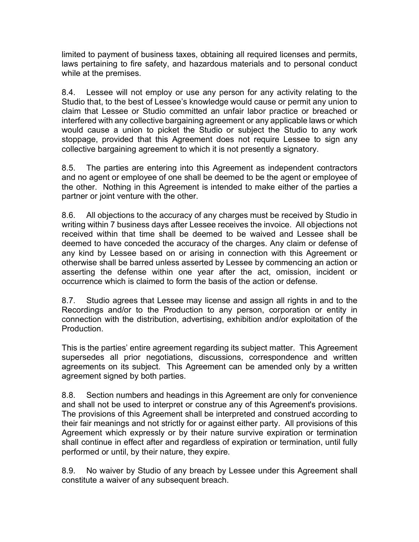limited to payment of business taxes, obtaining all required licenses and permits, laws pertaining to fire safety, and hazardous materials and to personal conduct while at the premises.

8.4. Lessee will not employ or use any person for any activity relating to the Studio that, to the best of Lessee's knowledge would cause or permit any union to claim that Lessee or Studio committed an unfair labor practice or breached or interfered with any collective bargaining agreement or any applicable laws or which would cause a union to picket the Studio or subject the Studio to any work stoppage, provided that this Agreement does not require Lessee to sign any collective bargaining agreement to which it is not presently a signatory.

8.5. The parties are entering into this Agreement as independent contractors and no agent or employee of one shall be deemed to be the agent or employee of the other. Nothing in this Agreement is intended to make either of the parties a partner or joint venture with the other.

8.6. All objections to the accuracy of any charges must be received by Studio in writing within 7 business days after Lessee receives the invoice. All objections not received within that time shall be deemed to be waived and Lessee shall be deemed to have conceded the accuracy of the charges. Any claim or defense of any kind by Lessee based on or arising in connection with this Agreement or otherwise shall be barred unless asserted by Lessee by commencing an action or asserting the defense within one year after the act, omission, incident or occurrence which is claimed to form the basis of the action or defense.

8.7. Studio agrees that Lessee may license and assign all rights in and to the Recordings and/or to the Production to any person, corporation or entity in connection with the distribution, advertising, exhibition and/or exploitation of the Production.

This is the parties' entire agreement regarding its subject matter. This Agreement supersedes all prior negotiations, discussions, correspondence and written agreements on its subject. This Agreement can be amended only by a written agreement signed by both parties.

8.8. Section numbers and headings in this Agreement are only for convenience and shall not be used to interpret or construe any of this Agreement's provisions. The provisions of this Agreement shall be interpreted and construed according to their fair meanings and not strictly for or against either party. All provisions of this Agreement which expressly or by their nature survive expiration or termination shall continue in effect after and regardless of expiration or termination, until fully performed or until, by their nature, they expire.

8.9. No waiver by Studio of any breach by Lessee under this Agreement shall constitute a waiver of any subsequent breach.